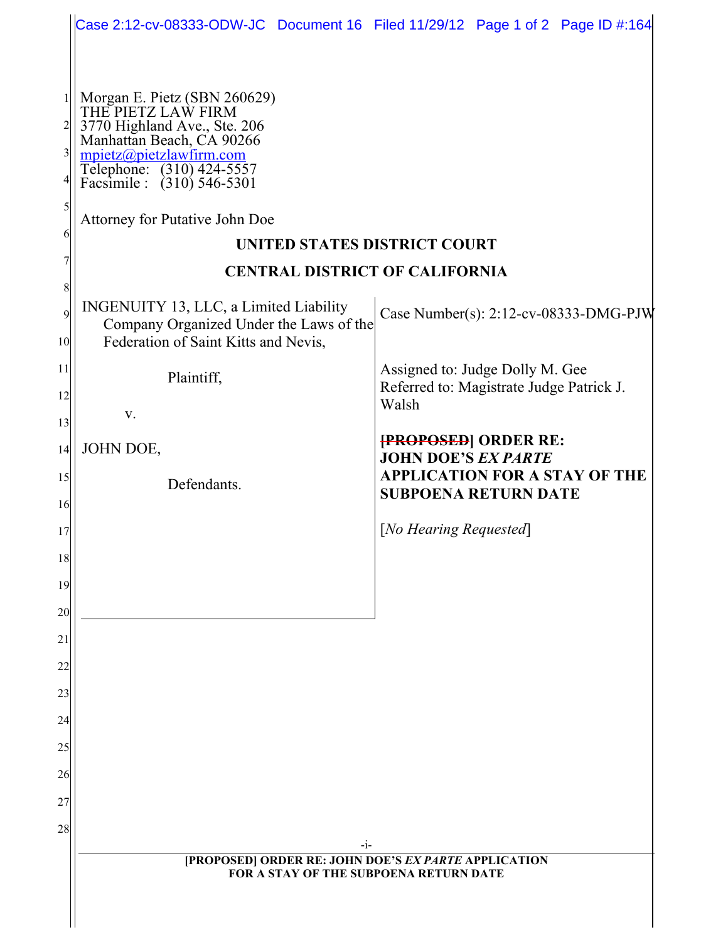|                                        | Case 2:12-cv-08333-ODW-JC Document 16 Filed 11/29/12 Page 1 of 2 Page ID #:164                                                                                                                                                                                          |                                                                                      |
|----------------------------------------|-------------------------------------------------------------------------------------------------------------------------------------------------------------------------------------------------------------------------------------------------------------------------|--------------------------------------------------------------------------------------|
|                                        |                                                                                                                                                                                                                                                                         |                                                                                      |
| 1<br>$\overline{3}$<br>5<br>6          | Morgan E. Pietz (SBN 260629)<br>THE PIETZ LAW FIRM<br>3770 Highland Ave., Ste. 206<br>Manhattan Beach, CA 90266<br>mpietz@pietzlawfirm.com<br>Telephone: (310) 424-5557<br>Facsimile : (310) 546-5301<br>Attorney for Putative John Doe<br>UNITED STATES DISTRICT COURT |                                                                                      |
|                                        | <b>CENTRAL DISTRICT OF CALIFORNIA</b>                                                                                                                                                                                                                                   |                                                                                      |
| 8<br>$\overline{9}$<br>10 <sup>1</sup> | INGENUITY 13, LLC, a Limited Liability<br>Company Organized Under the Laws of the<br>Federation of Saint Kitts and Nevis,                                                                                                                                               | Case Number(s): 2:12-cv-08333-DMG-PJW                                                |
| 11<br>12<br>13                         | Plaintiff,<br>V.                                                                                                                                                                                                                                                        | Assigned to: Judge Dolly M. Gee<br>Referred to: Magistrate Judge Patrick J.<br>Walsh |
| 14                                     | JOHN DOE,                                                                                                                                                                                                                                                               | <b>{PROPOSED}</b> ORDER RE:<br><b>JOHN DOE'S EX PARTE</b>                            |
| 15<br>16                               | Defendants.                                                                                                                                                                                                                                                             | <b>APPLICATION FOR A STAY OF THE</b><br><b>SUBPOENA RETURN DATE</b>                  |
| 17                                     |                                                                                                                                                                                                                                                                         | [No Hearing Requested]                                                               |
| 18                                     |                                                                                                                                                                                                                                                                         |                                                                                      |
| 19                                     |                                                                                                                                                                                                                                                                         |                                                                                      |
| 20<br>21                               |                                                                                                                                                                                                                                                                         |                                                                                      |
| 22                                     |                                                                                                                                                                                                                                                                         |                                                                                      |
| 23                                     |                                                                                                                                                                                                                                                                         |                                                                                      |
| 24                                     |                                                                                                                                                                                                                                                                         |                                                                                      |
| 25                                     |                                                                                                                                                                                                                                                                         |                                                                                      |
| 26<br>27                               |                                                                                                                                                                                                                                                                         |                                                                                      |
| 28                                     |                                                                                                                                                                                                                                                                         |                                                                                      |
|                                        | $-i-$<br>[PROPOSED] ORDER RE: JOHN DOE'S EX PARTE APPLICATION<br><b>FOR A STAY OF THE SUBPOENA RETURN DATE</b>                                                                                                                                                          |                                                                                      |
|                                        |                                                                                                                                                                                                                                                                         |                                                                                      |
|                                        |                                                                                                                                                                                                                                                                         |                                                                                      |